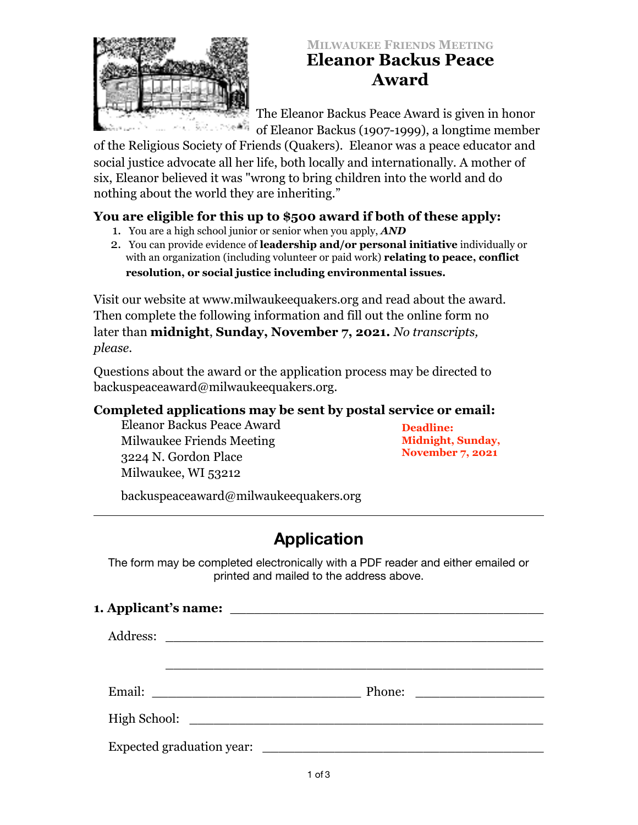

# **MILWAUKEE FRIENDS MEETING Eleanor Backus Peace Award**

The Eleanor Backus Peace Award is given in honor of Eleanor Backus (1907-1999), a longtime member

of the Religious Society of Friends (Quakers). Eleanor was a peace educator and social justice advocate all her life, both locally and internationally. A mother of six, Eleanor believed it was "wrong to bring children into the world and do nothing about the world they are inheriting."

## **You are eligible for this up to \$500 award if both of these apply:**

- 1. You are a high school junior or senior when you apply, *AND*
- 2. You can provide evidence of **leadership and/or personal initiative** individually or with an organization (including volunteer or paid work) **relating to peace, conflict resolution, or social justice including environmental issues.**

Visit our website at www.milwaukeequakers.org and read about the award. Then complete the following information and fill out the online form no later than **midnight**, **Sunday, November 7, 2021.** *No transcripts, please.* 

Questions about the award or the application process may be directed to backuspeaceaward@milwaukeequakers.org.

## **Completed applications may be sent by postal service or email:**

Eleanor Backus Peace Award Milwaukee Friends Meeting 3224 N. Gordon Place Milwaukee, WI 53212

**Deadline: Midnight, Sunday, November 7, 2021**

[backuspeaceaward@milwaukeequakers.org](mailto:backuspeaceaward@milwaukeequakers.org) 

# **Application**

The form may be completed electronically with a PDF reader and either emailed or printed and mailed to the address above.

| 1. Applicant's name:                                                 |  |
|----------------------------------------------------------------------|--|
|                                                                      |  |
|                                                                      |  |
| Email:<br><u> 1989 - Johann John Stein, fransk politik (d. 1989)</u> |  |
|                                                                      |  |
| Expected graduation year:                                            |  |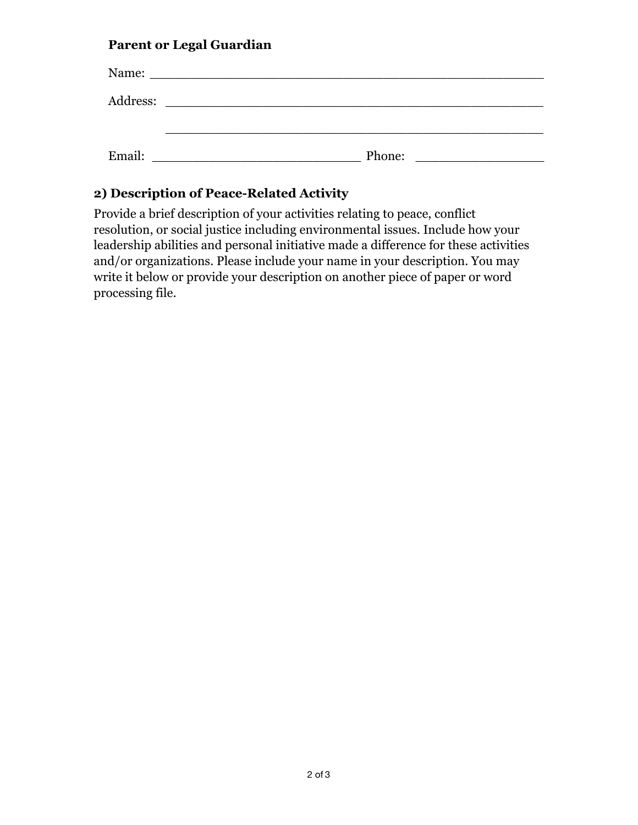## **Parent or Legal Guardian**

| Name:    |                                                                                                                       |
|----------|-----------------------------------------------------------------------------------------------------------------------|
| Address: | <u> 1980 - Andrea Aontaithe ann an t-Aontaithe ann an t-Aontaithe ann an t-Aontaithe ann an t-Aontaithe ann an t-</u> |
|          |                                                                                                                       |
| Email:   | Phone:                                                                                                                |

# **2) Description of Peace-Related Activity**

Provide a brief description of your activities relating to peace, conflict resolution, or social justice including environmental issues. Include how your leadership abilities and personal initiative made a difference for these activities and/or organizations. Please include your name in your description. You may write it below or provide your description on another piece of paper or word processing file.